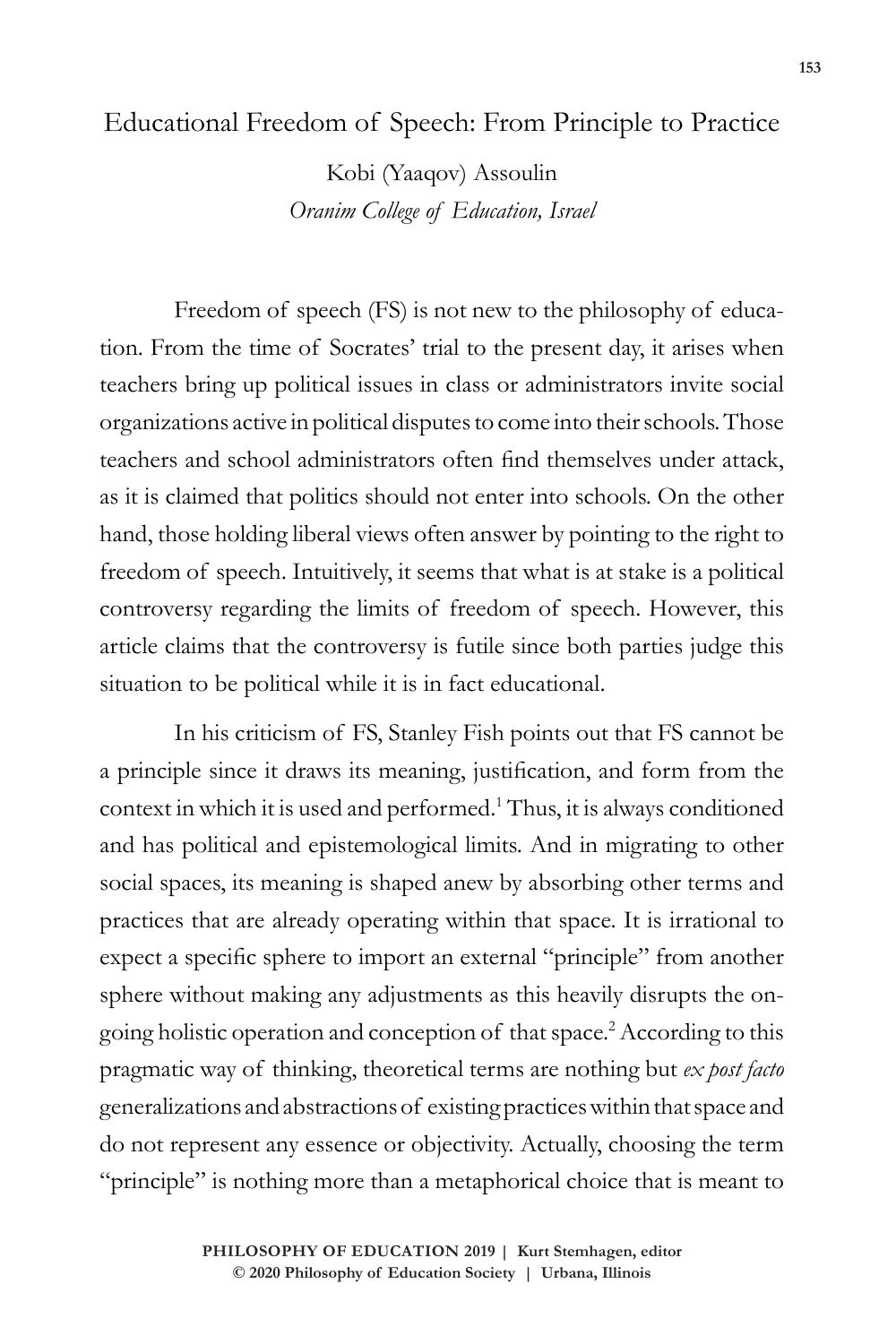## Educational Freedom of Speech: From Principle to Practice

Kobi (Yaaqov) Assoulin *Oranim College of Education, Israel*

Freedom of speech (FS) is not new to the philosophy of education. From the time of Socrates' trial to the present day, it arises when teachers bring up political issues in class or administrators invite social organizations active in political disputes to come into their schools. Those teachers and school administrators often find themselves under attack, as it is claimed that politics should not enter into schools. On the other hand, those holding liberal views often answer by pointing to the right to freedom of speech. Intuitively, it seems that what is at stake is a political controversy regarding the limits of freedom of speech. However, this article claims that the controversy is futile since both parties judge this situation to be political while it is in fact educational.

In his criticism of FS, Stanley Fish points out that FS cannot be a principle since it draws its meaning, justification, and form from the context in which it is used and performed.<sup>1</sup> Thus, it is always conditioned and has political and epistemological limits. And in migrating to other social spaces, its meaning is shaped anew by absorbing other terms and practices that are already operating within that space. It is irrational to expect a specific sphere to import an external "principle" from another sphere without making any adjustments as this heavily disrupts the ongoing holistic operation and conception of that space.<sup>2</sup> According to this pragmatic way of thinking, theoretical terms are nothing but *ex post facto* generalizations and abstractions of existing practices within that space and do not represent any essence or objectivity. Actually, choosing the term "principle" is nothing more than a metaphorical choice that is meant to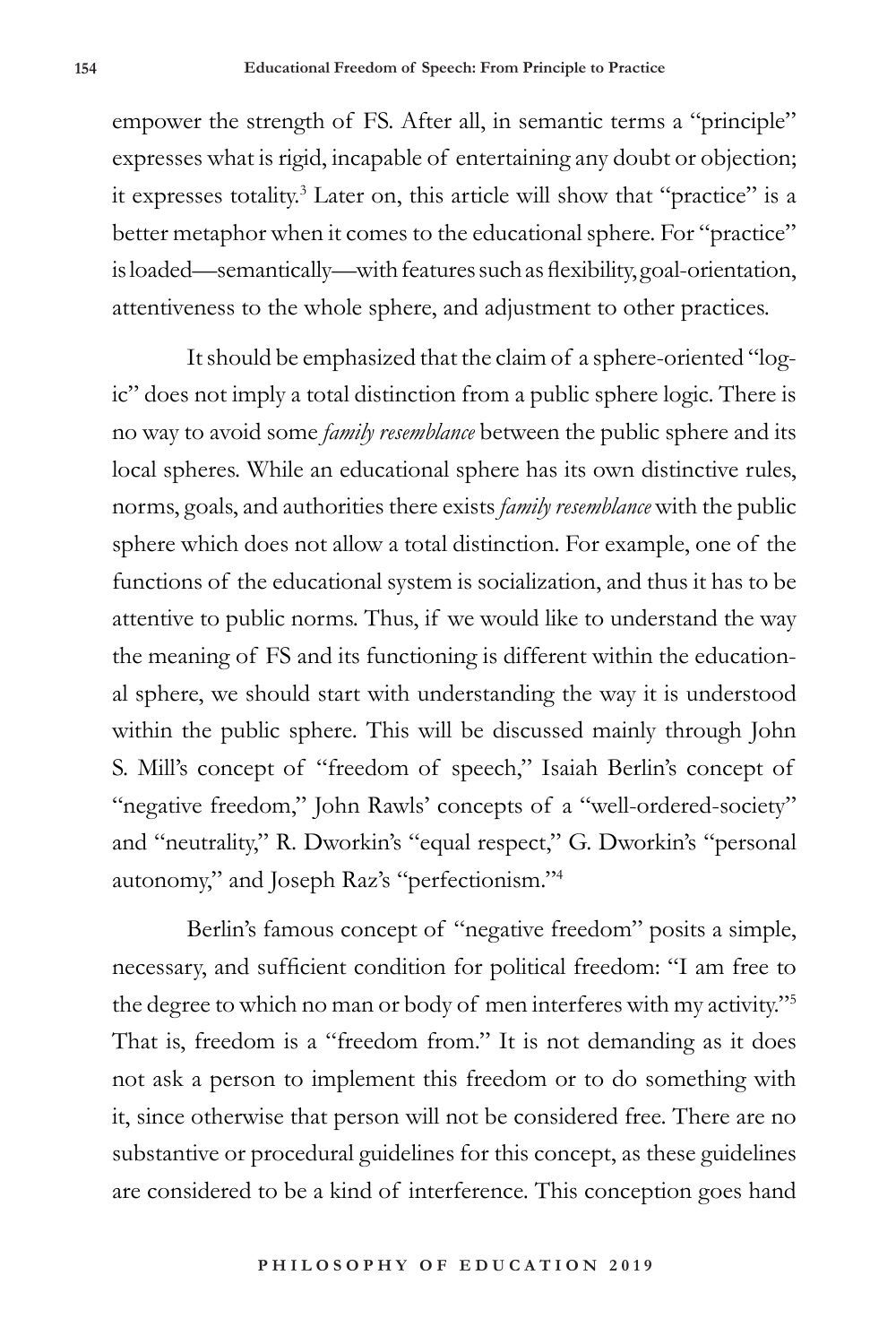empower the strength of FS. After all, in semantic terms a "principle" expresses what is rigid, incapable of entertaining any doubt or objection; it expresses totality.3 Later on, this article will show that "practice" is a better metaphor when it comes to the educational sphere. For "practice" is loaded—semantically—with features such as flexibility, goal-orientation, attentiveness to the whole sphere, and adjustment to other practices.

It should be emphasized that the claim of a sphere-oriented "logic" does not imply a total distinction from a public sphere logic. There is no way to avoid some *family resemblance* between the public sphere and its local spheres. While an educational sphere has its own distinctive rules, norms, goals, and authorities there exists *family resemblance* with the public sphere which does not allow a total distinction. For example, one of the functions of the educational system is socialization, and thus it has to be attentive to public norms. Thus, if we would like to understand the way the meaning of FS and its functioning is different within the educational sphere, we should start with understanding the way it is understood within the public sphere. This will be discussed mainly through John S. Mill's concept of "freedom of speech," Isaiah Berlin's concept of "negative freedom," John Rawls' concepts of a "well-ordered-society" and "neutrality," R. Dworkin's "equal respect," G. Dworkin's "personal autonomy," and Joseph Raz's "perfectionism."<sup>4</sup>

Berlin's famous concept of "negative freedom" posits a simple, necessary, and sufficient condition for political freedom: "I am free to the degree to which no man or body of men interferes with my activity."<sup>5</sup> That is, freedom is a "freedom from." It is not demanding as it does not ask a person to implement this freedom or to do something with it, since otherwise that person will not be considered free. There are no substantive or procedural guidelines for this concept, as these guidelines are considered to be a kind of interference. This conception goes hand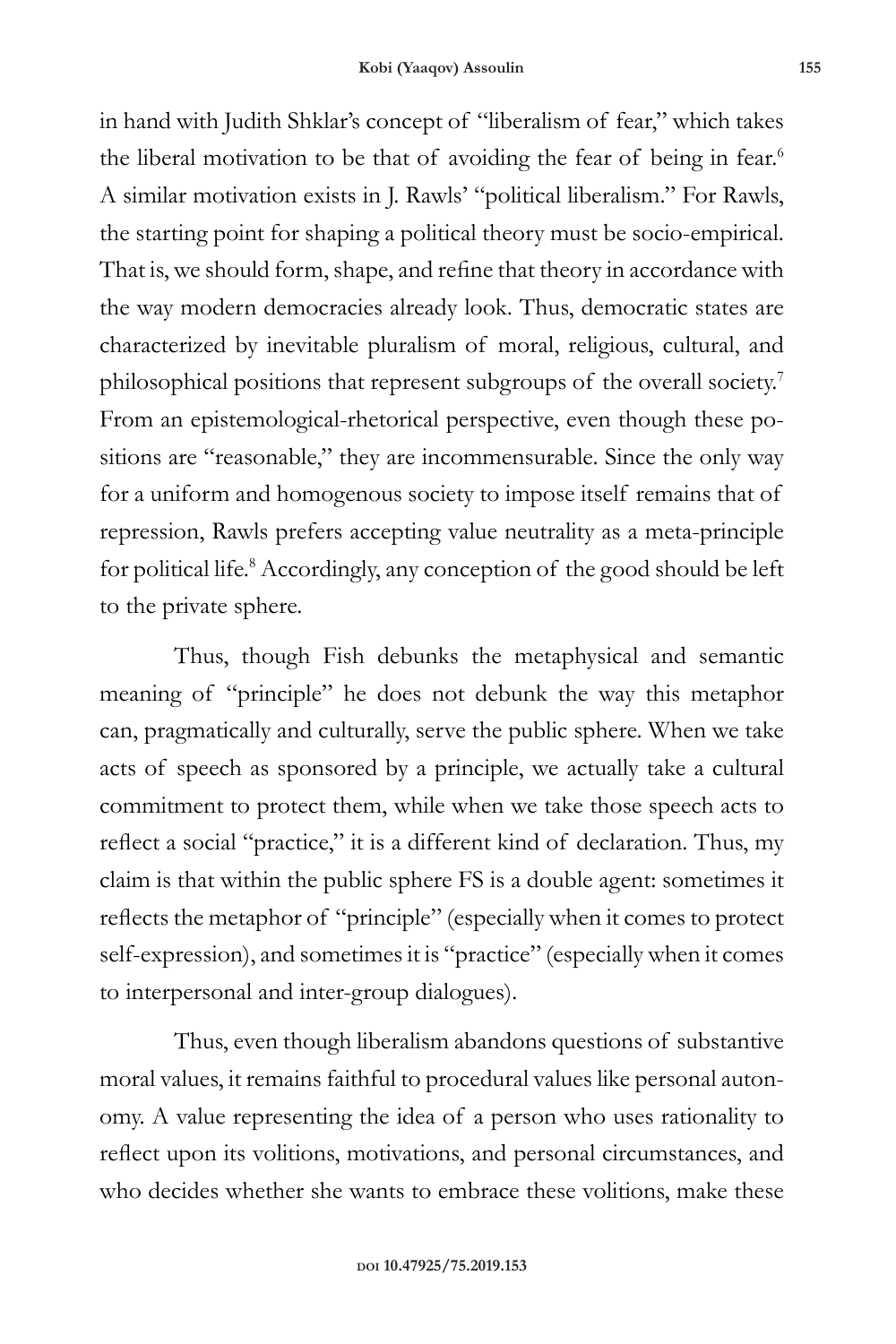in hand with Judith Shklar's concept of "liberalism of fear," which takes the liberal motivation to be that of avoiding the fear of being in fear.<sup>6</sup> A similar motivation exists in J. Rawls' "political liberalism." For Rawls, the starting point for shaping a political theory must be socio-empirical. That is, we should form, shape, and refine that theory in accordance with the way modern democracies already look. Thus, democratic states are characterized by inevitable pluralism of moral, religious, cultural, and philosophical positions that represent subgroups of the overall society.7 From an epistemological-rhetorical perspective, even though these positions are "reasonable," they are incommensurable. Since the only way for a uniform and homogenous society to impose itself remains that of repression, Rawls prefers accepting value neutrality as a meta-principle for political life.<sup>8</sup> Accordingly, any conception of the good should be left to the private sphere.

Thus, though Fish debunks the metaphysical and semantic meaning of "principle" he does not debunk the way this metaphor can, pragmatically and culturally, serve the public sphere. When we take acts of speech as sponsored by a principle, we actually take a cultural commitment to protect them, while when we take those speech acts to reflect a social "practice," it is a different kind of declaration. Thus, my claim is that within the public sphere FS is a double agent: sometimes it reflects the metaphor of "principle" (especially when it comes to protect self-expression), and sometimes it is "practice" (especially when it comes to interpersonal and inter-group dialogues).

Thus, even though liberalism abandons questions of substantive moral values, it remains faithful to procedural values like personal autonomy. A value representing the idea of a person who uses rationality to reflect upon its volitions, motivations, and personal circumstances, and who decides whether she wants to embrace these volitions, make these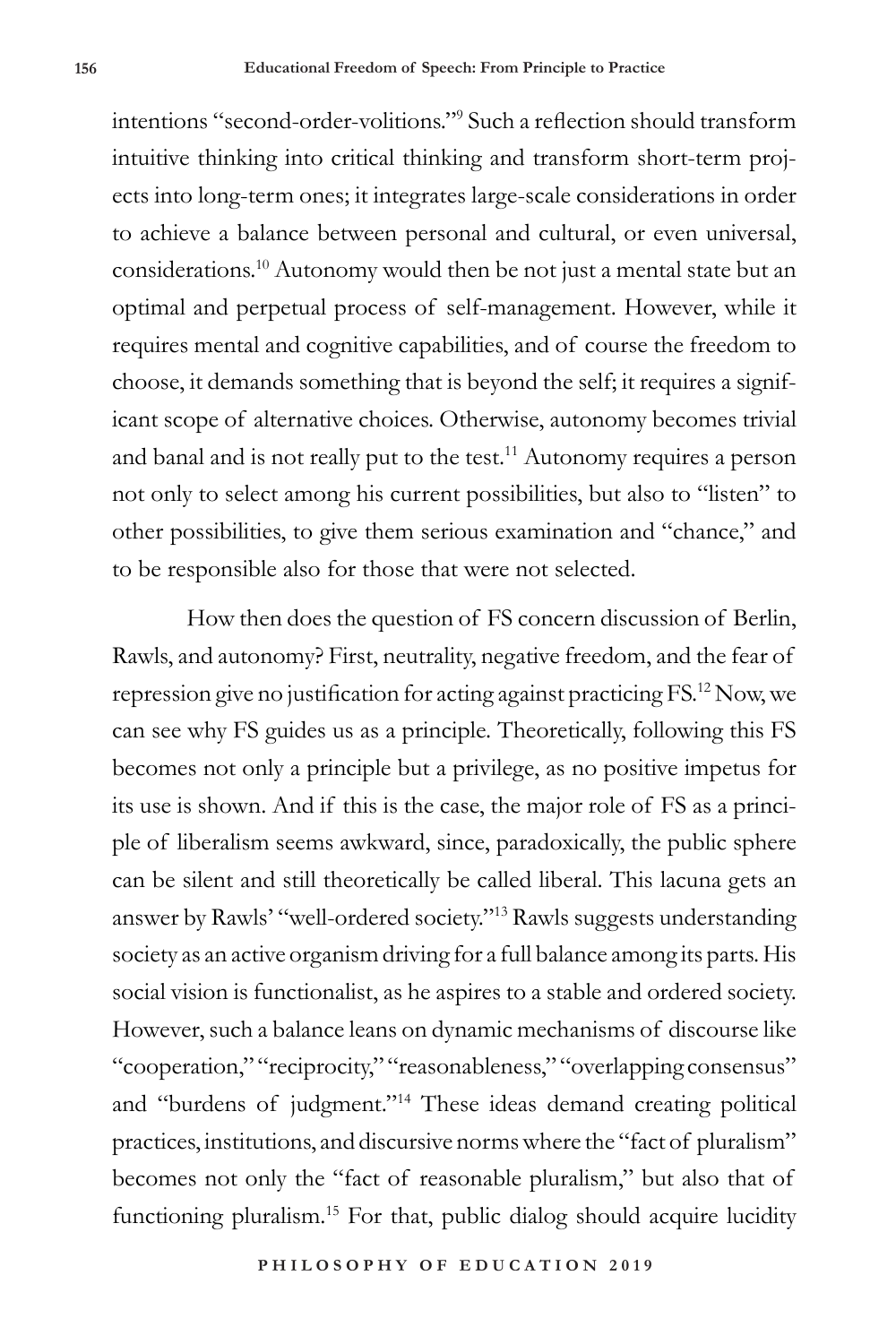intentions "second-order-volitions."<sup>9</sup> Such a reflection should transform intuitive thinking into critical thinking and transform short-term projects into long-term ones; it integrates large-scale considerations in order to achieve a balance between personal and cultural, or even universal, considerations.10 Autonomy would then be not just a mental state but an optimal and perpetual process of self-management. However, while it requires mental and cognitive capabilities, and of course the freedom to choose, it demands something that is beyond the self; it requires a significant scope of alternative choices. Otherwise, autonomy becomes trivial and banal and is not really put to the test.<sup>11</sup> Autonomy requires a person not only to select among his current possibilities, but also to "listen" to other possibilities, to give them serious examination and "chance," and to be responsible also for those that were not selected.

How then does the question of FS concern discussion of Berlin, Rawls, and autonomy? First, neutrality, negative freedom, and the fear of repression give no justification for acting against practicing FS.12 Now, we can see why FS guides us as a principle. Theoretically, following this FS becomes not only a principle but a privilege, as no positive impetus for its use is shown. And if this is the case, the major role of FS as a principle of liberalism seems awkward, since, paradoxically, the public sphere can be silent and still theoretically be called liberal. This lacuna gets an answer by Rawls' "well-ordered society."<sup>13</sup> Rawls suggests understanding society as an active organism driving for a full balance among its parts. His social vision is functionalist, as he aspires to a stable and ordered society. However, such a balance leans on dynamic mechanisms of discourse like "cooperation," "reciprocity," "reasonableness," "overlapping consensus" and "burdens of judgment."14 These ideas demand creating political practices, institutions, and discursive norms where the "fact of pluralism" becomes not only the "fact of reasonable pluralism," but also that of functioning pluralism.15 For that, public dialog should acquire lucidity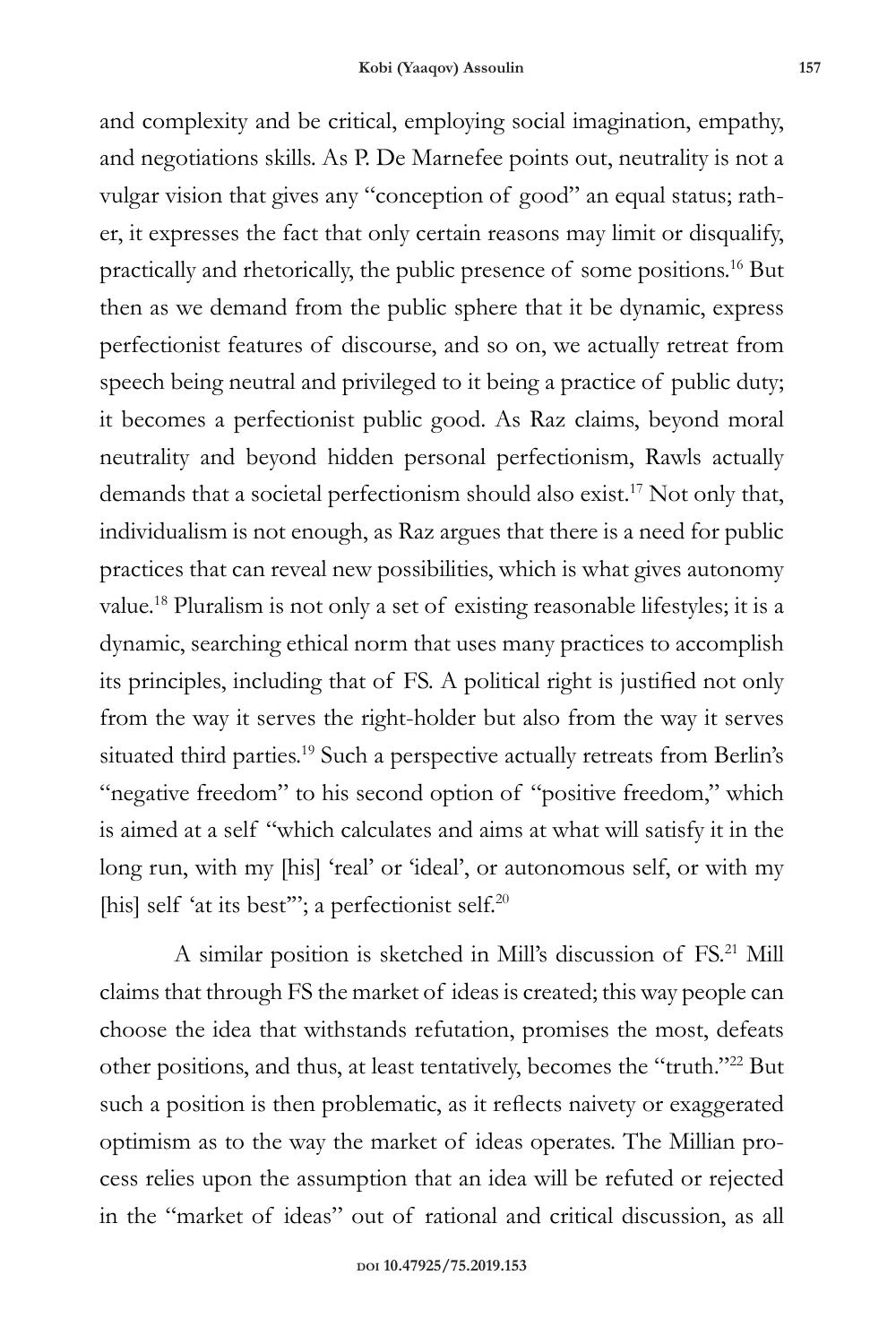and complexity and be critical, employing social imagination, empathy, and negotiations skills. As P. De Marnefee points out, neutrality is not a vulgar vision that gives any "conception of good" an equal status; rather, it expresses the fact that only certain reasons may limit or disqualify, practically and rhetorically, the public presence of some positions.16 But then as we demand from the public sphere that it be dynamic, express perfectionist features of discourse, and so on, we actually retreat from speech being neutral and privileged to it being a practice of public duty; it becomes a perfectionist public good. As Raz claims, beyond moral neutrality and beyond hidden personal perfectionism, Rawls actually demands that a societal perfectionism should also exist.17 Not only that, individualism is not enough, as Raz argues that there is a need for public practices that can reveal new possibilities, which is what gives autonomy value.18 Pluralism is not only a set of existing reasonable lifestyles; it is a dynamic, searching ethical norm that uses many practices to accomplish its principles, including that of FS. A political right is justified not only from the way it serves the right-holder but also from the way it serves situated third parties.19 Such a perspective actually retreats from Berlin's "negative freedom" to his second option of "positive freedom," which is aimed at a self "which calculates and aims at what will satisfy it in the long run, with my [his] 'real' or 'ideal', or autonomous self, or with my [his] self 'at its best"'; a perfectionist self.<sup>20</sup>

A similar position is sketched in Mill's discussion of FS.21 Mill claims that through FS the market of ideas is created; this way people can choose the idea that withstands refutation, promises the most, defeats other positions, and thus, at least tentatively, becomes the "truth."<sup>22</sup> But such a position is then problematic, as it reflects naivety or exaggerated optimism as to the way the market of ideas operates. The Millian process relies upon the assumption that an idea will be refuted or rejected in the "market of ideas" out of rational and critical discussion, as all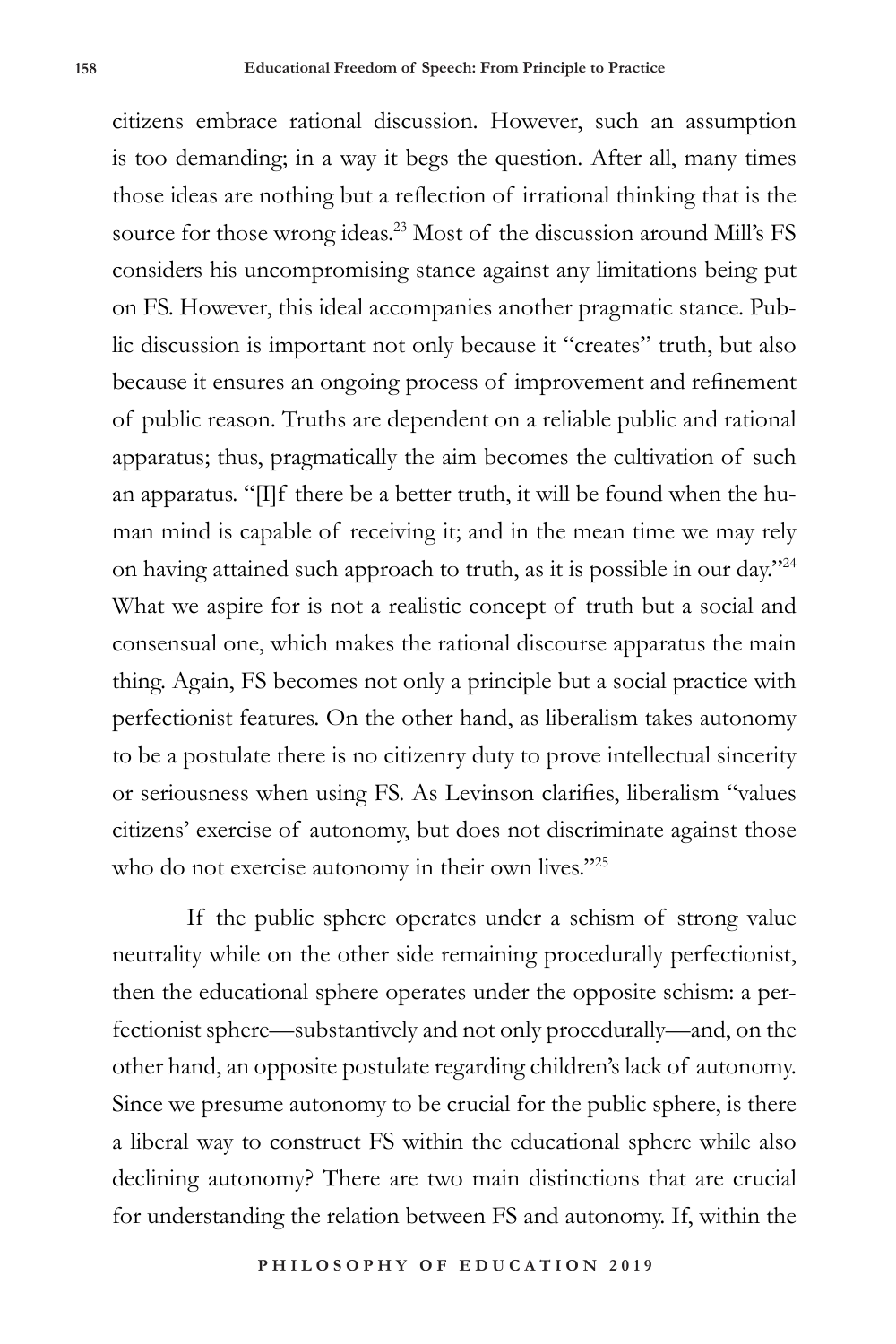citizens embrace rational discussion. However, such an assumption is too demanding; in a way it begs the question. After all, many times those ideas are nothing but a reflection of irrational thinking that is the source for those wrong ideas.<sup>23</sup> Most of the discussion around Mill's FS considers his uncompromising stance against any limitations being put on FS. However, this ideal accompanies another pragmatic stance. Public discussion is important not only because it "creates" truth, but also because it ensures an ongoing process of improvement and refinement of public reason. Truths are dependent on a reliable public and rational apparatus; thus, pragmatically the aim becomes the cultivation of such an apparatus. "[I]f there be a better truth, it will be found when the human mind is capable of receiving it; and in the mean time we may rely on having attained such approach to truth, as it is possible in our day."<sup>24</sup> What we aspire for is not a realistic concept of truth but a social and consensual one, which makes the rational discourse apparatus the main thing. Again, FS becomes not only a principle but a social practice with perfectionist features. On the other hand, as liberalism takes autonomy to be a postulate there is no citizenry duty to prove intellectual sincerity or seriousness when using FS. As Levinson clarifies, liberalism "values citizens' exercise of autonomy, but does not discriminate against those who do not exercise autonomy in their own lives."25

If the public sphere operates under a schism of strong value neutrality while on the other side remaining procedurally perfectionist, then the educational sphere operates under the opposite schism: a perfectionist sphere—substantively and not only procedurally—and, on the other hand, an opposite postulate regarding children's lack of autonomy. Since we presume autonomy to be crucial for the public sphere, is there a liberal way to construct FS within the educational sphere while also declining autonomy? There are two main distinctions that are crucial for understanding the relation between FS and autonomy. If, within the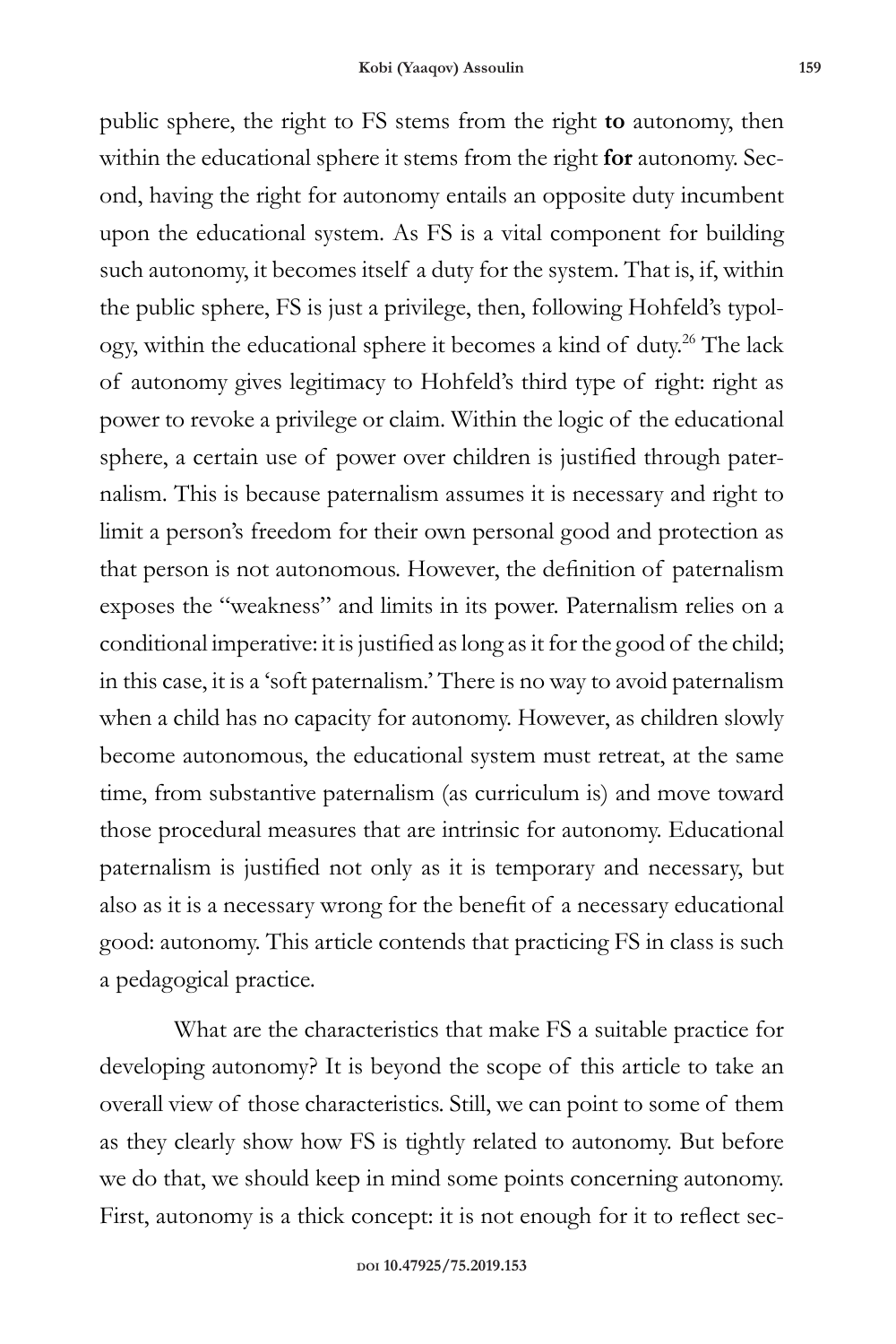public sphere, the right to FS stems from the right **to** autonomy, then within the educational sphere it stems from the right **for** autonomy. Second, having the right for autonomy entails an opposite duty incumbent upon the educational system. As FS is a vital component for building such autonomy, it becomes itself a duty for the system. That is, if, within the public sphere, FS is just a privilege, then, following Hohfeld's typology, within the educational sphere it becomes a kind of duty.<sup>26</sup> The lack of autonomy gives legitimacy to Hohfeld's third type of right: right as power to revoke a privilege or claim. Within the logic of the educational sphere, a certain use of power over children is justified through paternalism. This is because paternalism assumes it is necessary and right to limit a person's freedom for their own personal good and protection as that person is not autonomous. However, the definition of paternalism exposes the "weakness" and limits in its power. Paternalism relies on a conditional imperative: it is justified as long as it for the good of the child; in this case, it is a 'soft paternalism.' There is no way to avoid paternalism when a child has no capacity for autonomy. However, as children slowly become autonomous, the educational system must retreat, at the same time, from substantive paternalism (as curriculum is) and move toward those procedural measures that are intrinsic for autonomy. Educational paternalism is justified not only as it is temporary and necessary, but also as it is a necessary wrong for the benefit of a necessary educational good: autonomy. This article contends that practicing FS in class is such a pedagogical practice.

What are the characteristics that make FS a suitable practice for developing autonomy? It is beyond the scope of this article to take an overall view of those characteristics. Still, we can point to some of them as they clearly show how FS is tightly related to autonomy. But before we do that, we should keep in mind some points concerning autonomy. First, autonomy is a thick concept: it is not enough for it to reflect sec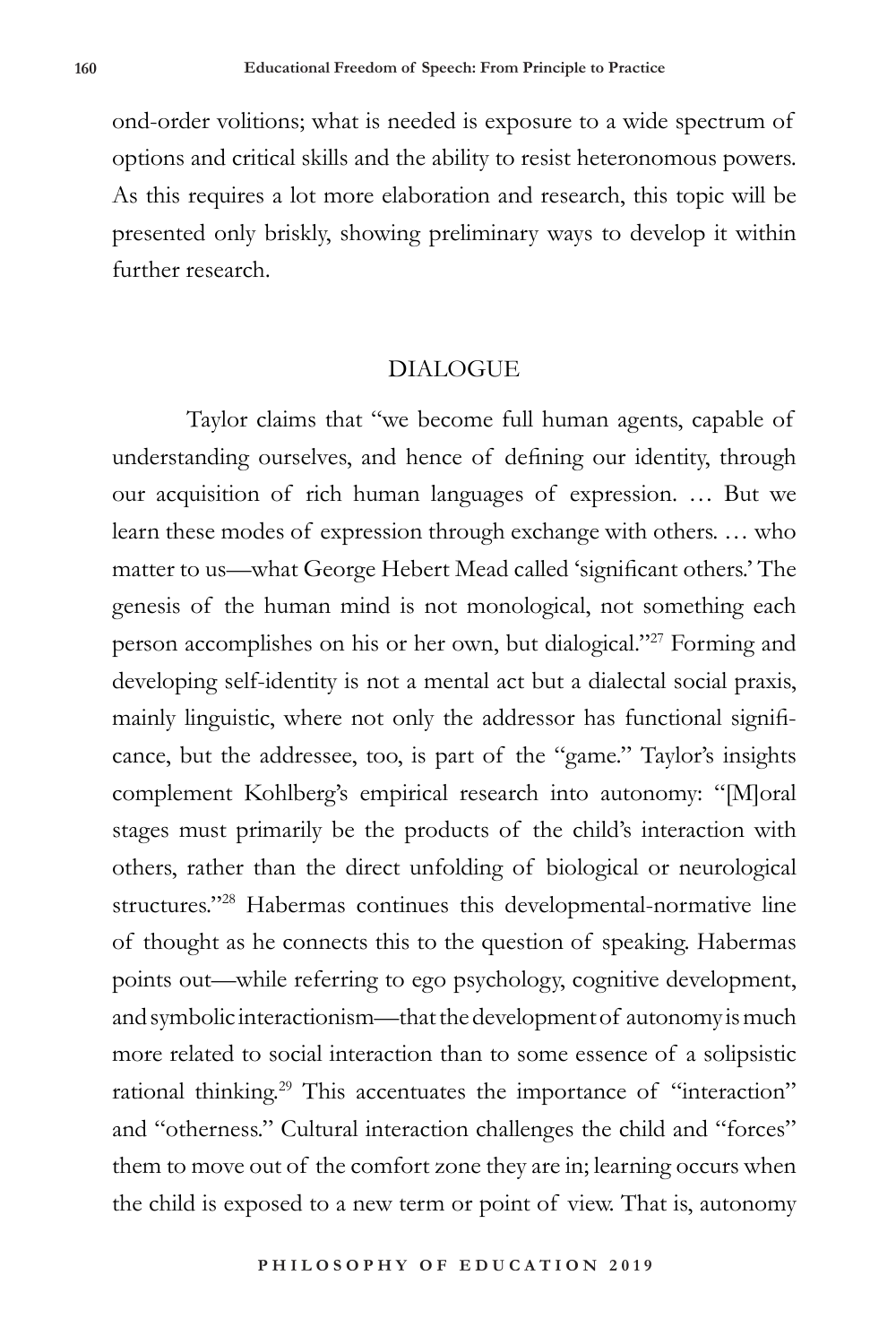ond-order volitions; what is needed is exposure to a wide spectrum of options and critical skills and the ability to resist heteronomous powers. As this requires a lot more elaboration and research, this topic will be presented only briskly, showing preliminary ways to develop it within further research.

## **DIALOGUE**

Taylor claims that "we become full human agents, capable of understanding ourselves, and hence of defining our identity, through our acquisition of rich human languages of expression. … But we learn these modes of expression through exchange with others. … who matter to us—what George Hebert Mead called 'significant others.' The genesis of the human mind is not monological, not something each person accomplishes on his or her own, but dialogical."27 Forming and developing self-identity is not a mental act but a dialectal social praxis, mainly linguistic, where not only the addressor has functional significance, but the addressee, too, is part of the "game." Taylor's insights complement Kohlberg's empirical research into autonomy: "[M]oral stages must primarily be the products of the child's interaction with others, rather than the direct unfolding of biological or neurological structures."28 Habermas continues this developmental-normative line of thought as he connects this to the question of speaking. Habermas points out—while referring to ego psychology, cognitive development, and symbolic interactionism—that the development of autonomy is much more related to social interaction than to some essence of a solipsistic rational thinking.<sup>29</sup> This accentuates the importance of "interaction" and "otherness." Cultural interaction challenges the child and "forces" them to move out of the comfort zone they are in; learning occurs when the child is exposed to a new term or point of view. That is, autonomy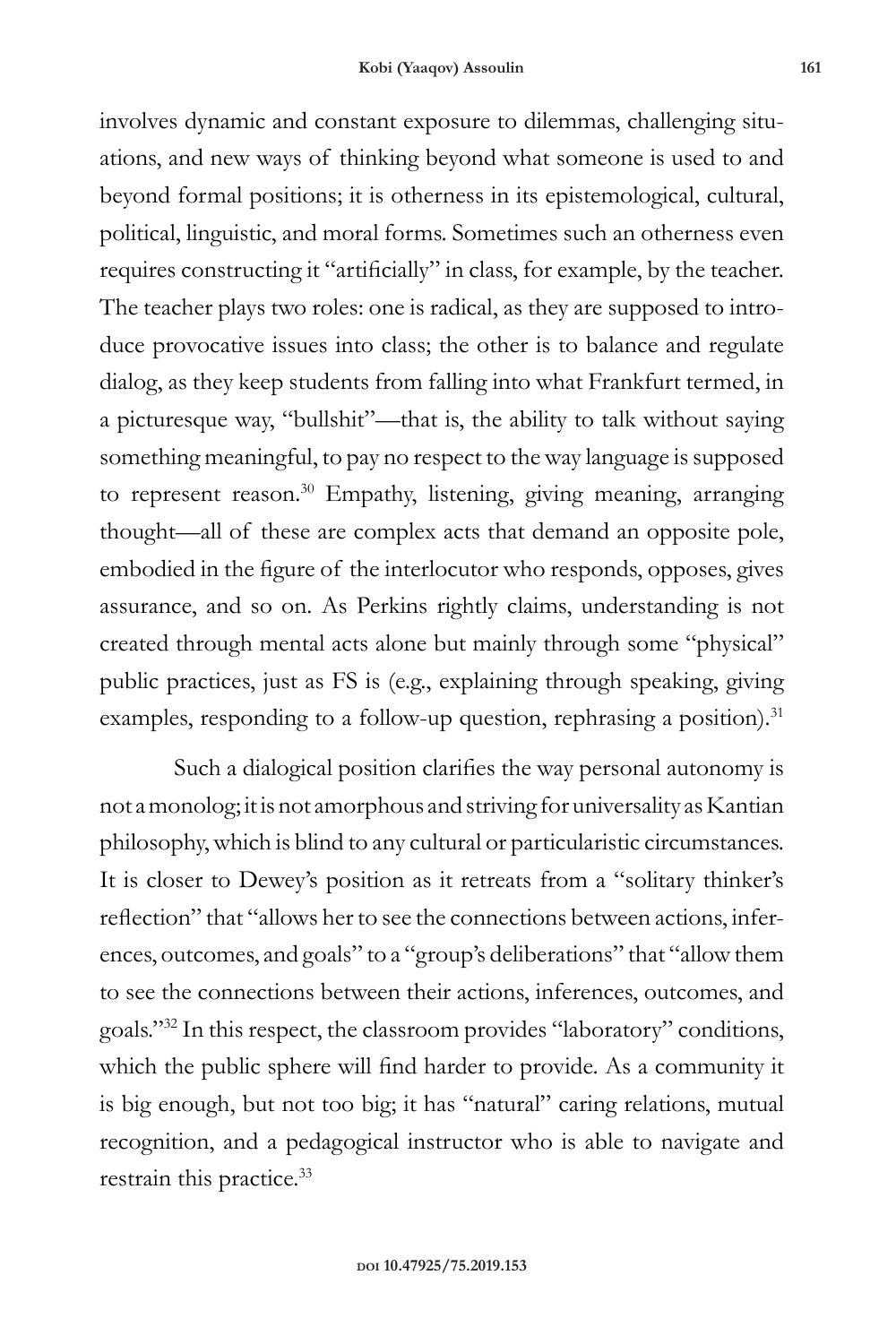involves dynamic and constant exposure to dilemmas, challenging situations, and new ways of thinking beyond what someone is used to and beyond formal positions; it is otherness in its epistemological, cultural, political, linguistic, and moral forms. Sometimes such an otherness even requires constructing it "artificially" in class, for example, by the teacher. The teacher plays two roles: one is radical, as they are supposed to introduce provocative issues into class; the other is to balance and regulate dialog, as they keep students from falling into what Frankfurt termed, in a picturesque way, "bullshit"—that is, the ability to talk without saying something meaningful, to pay no respect to the way language is supposed to represent reason.<sup>30</sup> Empathy, listening, giving meaning, arranging thought—all of these are complex acts that demand an opposite pole, embodied in the figure of the interlocutor who responds, opposes, gives assurance, and so on. As Perkins rightly claims, understanding is not created through mental acts alone but mainly through some "physical" public practices, just as FS is (e.g., explaining through speaking, giving examples, responding to a follow-up question, rephrasing a position).<sup>31</sup>

Such a dialogical position clarifies the way personal autonomy is not a monolog; it is not amorphous and striving for universality as Kantian philosophy, which is blind to any cultural or particularistic circumstances. It is closer to Dewey's position as it retreats from a "solitary thinker's reflection" that "allows her to see the connections between actions, inferences, outcomes, and goals" to a "group's deliberations" that "allow them to see the connections between their actions, inferences, outcomes, and goals."<sup>32</sup> In this respect, the classroom provides "laboratory" conditions, which the public sphere will find harder to provide. As a community it is big enough, but not too big; it has "natural" caring relations, mutual recognition, and a pedagogical instructor who is able to navigate and restrain this practice.<sup>33</sup>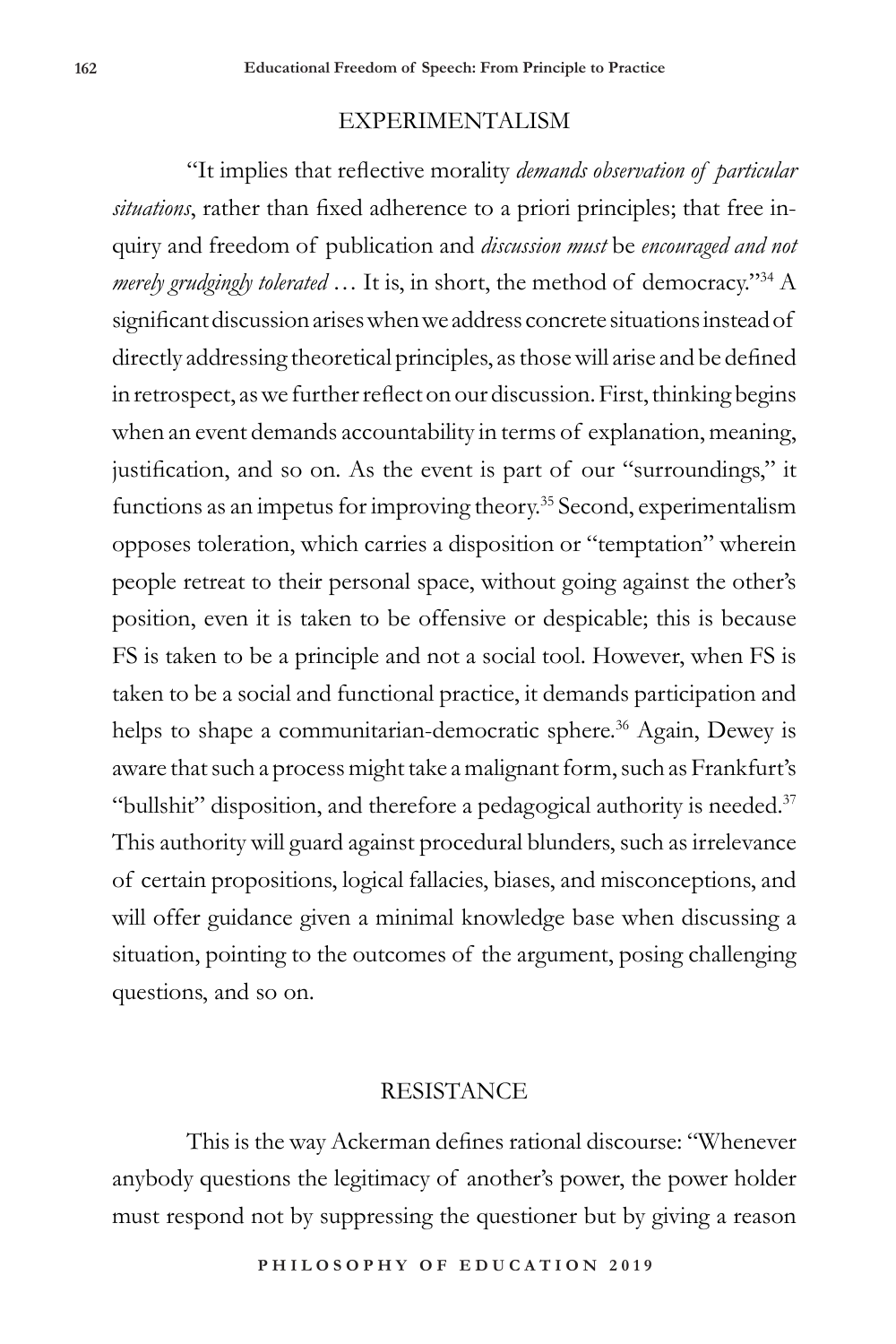## EXPERIMENTALISM

"It implies that reflective morality *demands observation of particular situations*, rather than fixed adherence to a priori principles; that free inquiry and freedom of publication and *discussion must* be *encouraged and not merely grudgingly tolerated* … It is, in short, the method of democracy."34 A significant discussion arises when we address concrete situations instead of directly addressing theoretical principles, as those will arise and be defined in retrospect, as we further reflect on our discussion. First, thinking begins when an event demands accountability in terms of explanation, meaning, justification, and so on. As the event is part of our "surroundings," it functions as an impetus for improving theory.<sup>35</sup> Second, experimentalism opposes toleration, which carries a disposition or "temptation" wherein people retreat to their personal space, without going against the other's position, even it is taken to be offensive or despicable; this is because FS is taken to be a principle and not a social tool. However, when FS is taken to be a social and functional practice, it demands participation and helps to shape a communitarian-democratic sphere.<sup>36</sup> Again, Dewey is aware that such a process might take a malignant form, such as Frankfurt's "bullshit" disposition, and therefore a pedagogical authority is needed. $37$ This authority will guard against procedural blunders, such as irrelevance of certain propositions, logical fallacies, biases, and misconceptions, and will offer guidance given a minimal knowledge base when discussing a situation, pointing to the outcomes of the argument, posing challenging questions, and so on.

## **RESISTANCE**

This is the way Ackerman defines rational discourse: "Whenever anybody questions the legitimacy of another's power, the power holder must respond not by suppressing the questioner but by giving a reason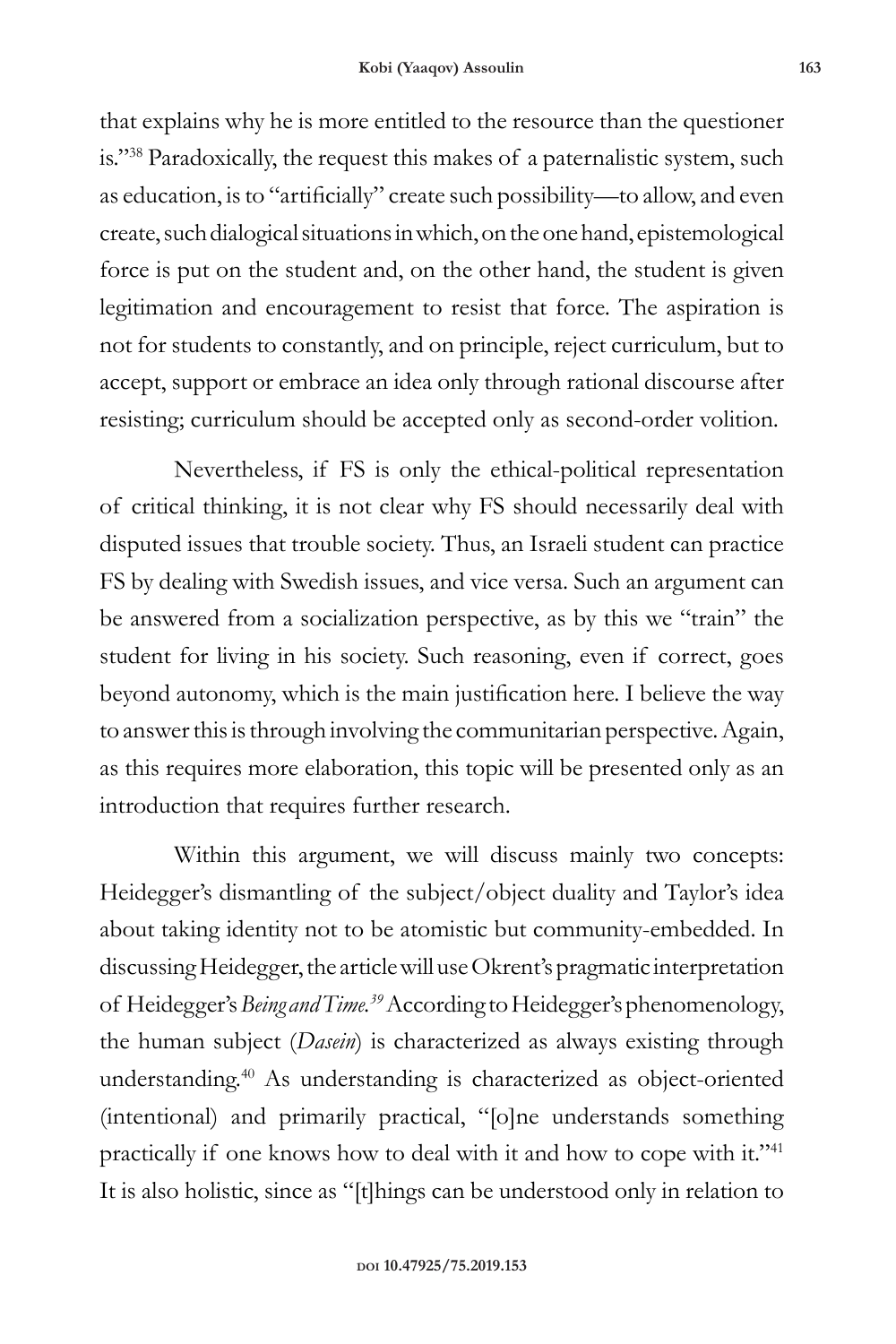that explains why he is more entitled to the resource than the questioner is."<sup>38</sup> Paradoxically, the request this makes of a paternalistic system, such as education, is to "artificially" create such possibility—to allow, and even create, such dialogical situations in which, on the one hand, epistemological force is put on the student and, on the other hand, the student is given legitimation and encouragement to resist that force. The aspiration is not for students to constantly, and on principle, reject curriculum, but to accept, support or embrace an idea only through rational discourse after resisting; curriculum should be accepted only as second-order volition.

Nevertheless, if FS is only the ethical-political representation of critical thinking, it is not clear why FS should necessarily deal with disputed issues that trouble society. Thus, an Israeli student can practice FS by dealing with Swedish issues, and vice versa. Such an argument can be answered from a socialization perspective, as by this we "train" the student for living in his society. Such reasoning, even if correct, goes beyond autonomy, which is the main justification here. I believe the way to answer this is through involving the communitarian perspective. Again, as this requires more elaboration, this topic will be presented only as an introduction that requires further research.

Within this argument, we will discuss mainly two concepts: Heidegger's dismantling of the subject/object duality and Taylor's idea about taking identity not to be atomistic but community-embedded. In discussing Heidegger, the article will use Okrent's pragmatic interpretation of Heidegger's *Being and Time.39* According to Heidegger's phenomenology, the human subject (*Dasein*) is characterized as always existing through understanding.40 As understanding is characterized as object-oriented (intentional) and primarily practical, "[o]ne understands something practically if one knows how to deal with it and how to cope with it."<sup>41</sup> It is also holistic, since as "[t]hings can be understood only in relation to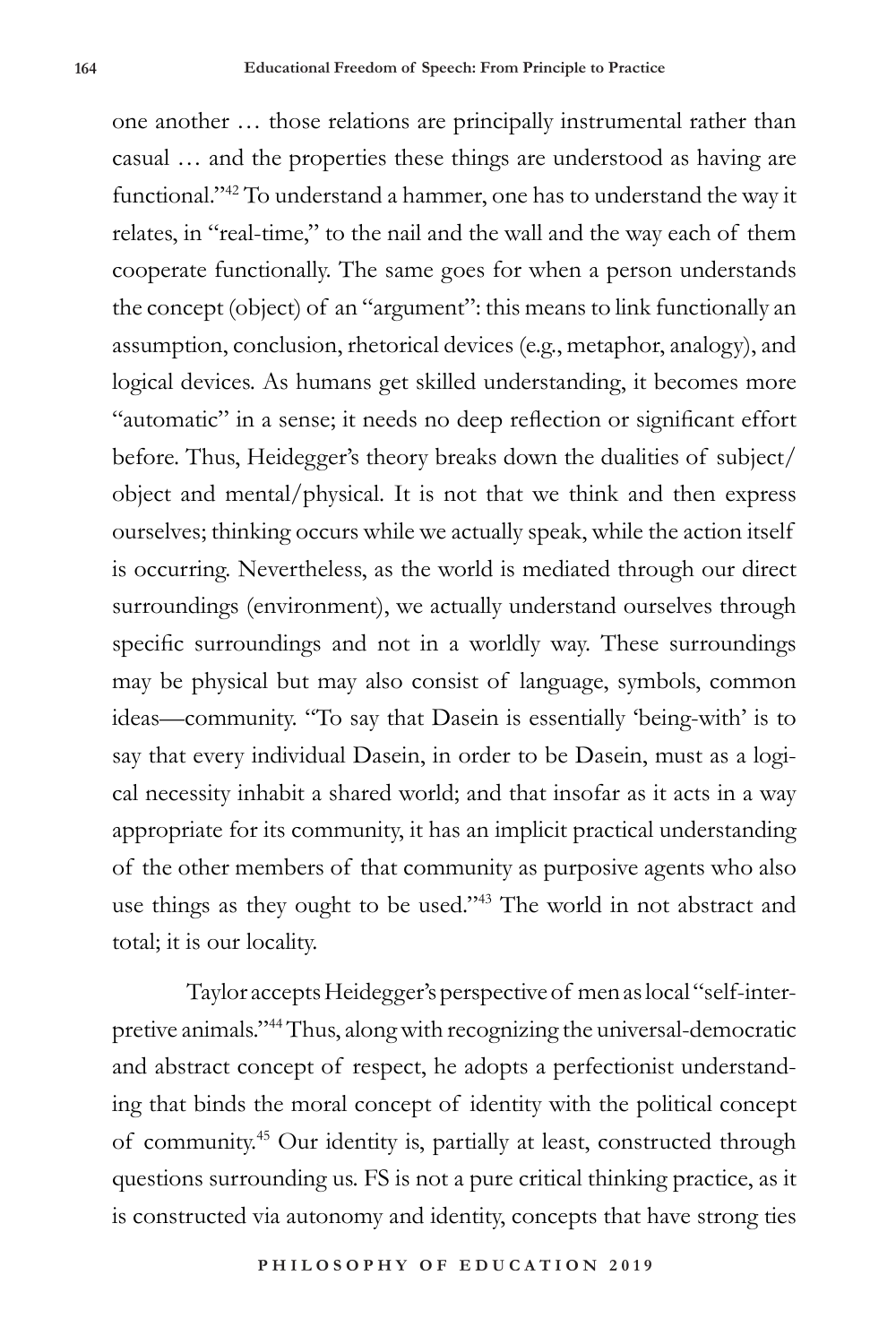one another … those relations are principally instrumental rather than casual … and the properties these things are understood as having are functional."42 To understand a hammer, one has to understand the way it relates, in "real-time," to the nail and the wall and the way each of them cooperate functionally. The same goes for when a person understands the concept (object) of an "argument": this means to link functionally an assumption, conclusion, rhetorical devices (e.g., metaphor, analogy), and logical devices. As humans get skilled understanding, it becomes more "automatic" in a sense; it needs no deep reflection or significant effort before. Thus, Heidegger's theory breaks down the dualities of subject/ object and mental/physical. It is not that we think and then express ourselves; thinking occurs while we actually speak, while the action itself is occurring. Nevertheless, as the world is mediated through our direct surroundings (environment), we actually understand ourselves through specific surroundings and not in a worldly way. These surroundings may be physical but may also consist of language, symbols, common ideas—community. "To say that Dasein is essentially 'being-with' is to say that every individual Dasein, in order to be Dasein, must as a logical necessity inhabit a shared world; and that insofar as it acts in a way appropriate for its community, it has an implicit practical understanding of the other members of that community as purposive agents who also use things as they ought to be used."43 The world in not abstract and total; it is our locality.

Taylor accepts Heidegger's perspective of men as local "self-interpretive animals."44 Thus, along with recognizing the universal-democratic and abstract concept of respect, he adopts a perfectionist understanding that binds the moral concept of identity with the political concept of community.45 Our identity is, partially at least, constructed through questions surrounding us. FS is not a pure critical thinking practice, as it is constructed via autonomy and identity, concepts that have strong ties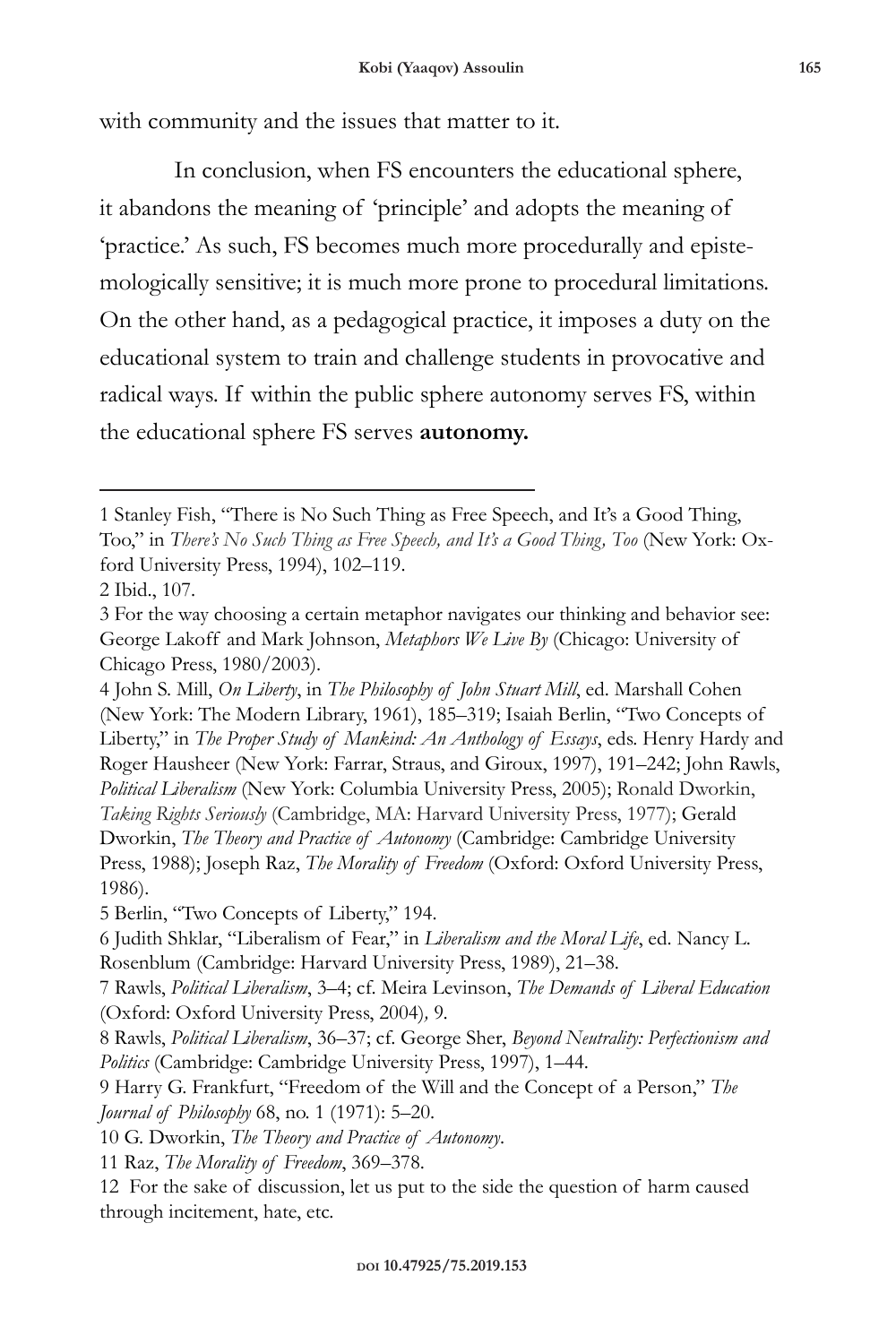with community and the issues that matter to it.

In conclusion, when FS encounters the educational sphere, it abandons the meaning of 'principle' and adopts the meaning of 'practice.' As such, FS becomes much more procedurally and epistemologically sensitive; it is much more prone to procedural limitations. On the other hand, as a pedagogical practice, it imposes a duty on the educational system to train and challenge students in provocative and radical ways. If within the public sphere autonomy serves FS, within the educational sphere FS serves **autonomy.** 

5 Berlin, "Two Concepts of Liberty," 194.

6 Judith Shklar, "Liberalism of Fear," in *Liberalism and the Moral Life*, ed. Nancy L. Rosenblum (Cambridge: Harvard University Press, 1989), 21–38.

10 G. Dworkin, *The Theory and Practice of Autonomy*.

11 Raz, *The Morality of Freedom*, 369–378.

<sup>1</sup> Stanley Fish, "There is No Such Thing as Free Speech, and It's a Good Thing, Too," in *There's No Such Thing as Free Speech, and It's a Good Thing, Too* (New York: Oxford University Press, 1994), 102–119.

<sup>2</sup> Ibid., 107.

<sup>3</sup> For the way choosing a certain metaphor navigates our thinking and behavior see: George Lakoff and Mark Johnson, *Metaphors We Live By* (Chicago: University of Chicago Press, 1980/2003).

<sup>4</sup> John S. Mill, *On Liberty*, in *The Philosophy of John Stuart Mill*, ed. Marshall Cohen (New York: The Modern Library, 1961), 185–319; Isaiah Berlin, "Two Concepts of Liberty," in *The Proper Study of Mankind: An Anthology of Essays*, eds. Henry Hardy and Roger Hausheer (New York: Farrar, Straus, and Giroux, 1997), 191–242; John Rawls, *Political Liberalism* (New York: Columbia University Press, 2005); Ronald Dworkin, *Taking Rights Seriously* (Cambridge, MA: Harvard University Press, 1977); Gerald Dworkin, *The Theory and Practice of Autonomy* (Cambridge: Cambridge University Press, 1988); Joseph Raz, *The Morality of Freedom* (Oxford: Oxford University Press, 1986).

<sup>7</sup> Rawls, *Political Liberalism*, 3–4; cf. Meira Levinson, *The Demands of Liberal Education*  (Oxford: Oxford University Press, 2004)*,* 9*.* 

<sup>8</sup> Rawls, *Political Liberalism*, 36–37; cf. George Sher, *Beyond Neutrality: Perfectionism and Politics* (Cambridge: Cambridge University Press, 1997), 1–44.

<sup>9</sup> Harry G. Frankfurt, "Freedom of the Will and the Concept of a Person," *The Journal of Philosophy* 68, no. 1 (1971): 5–20.

<sup>12</sup> For the sake of discussion, let us put to the side the question of harm caused through incitement, hate, etc.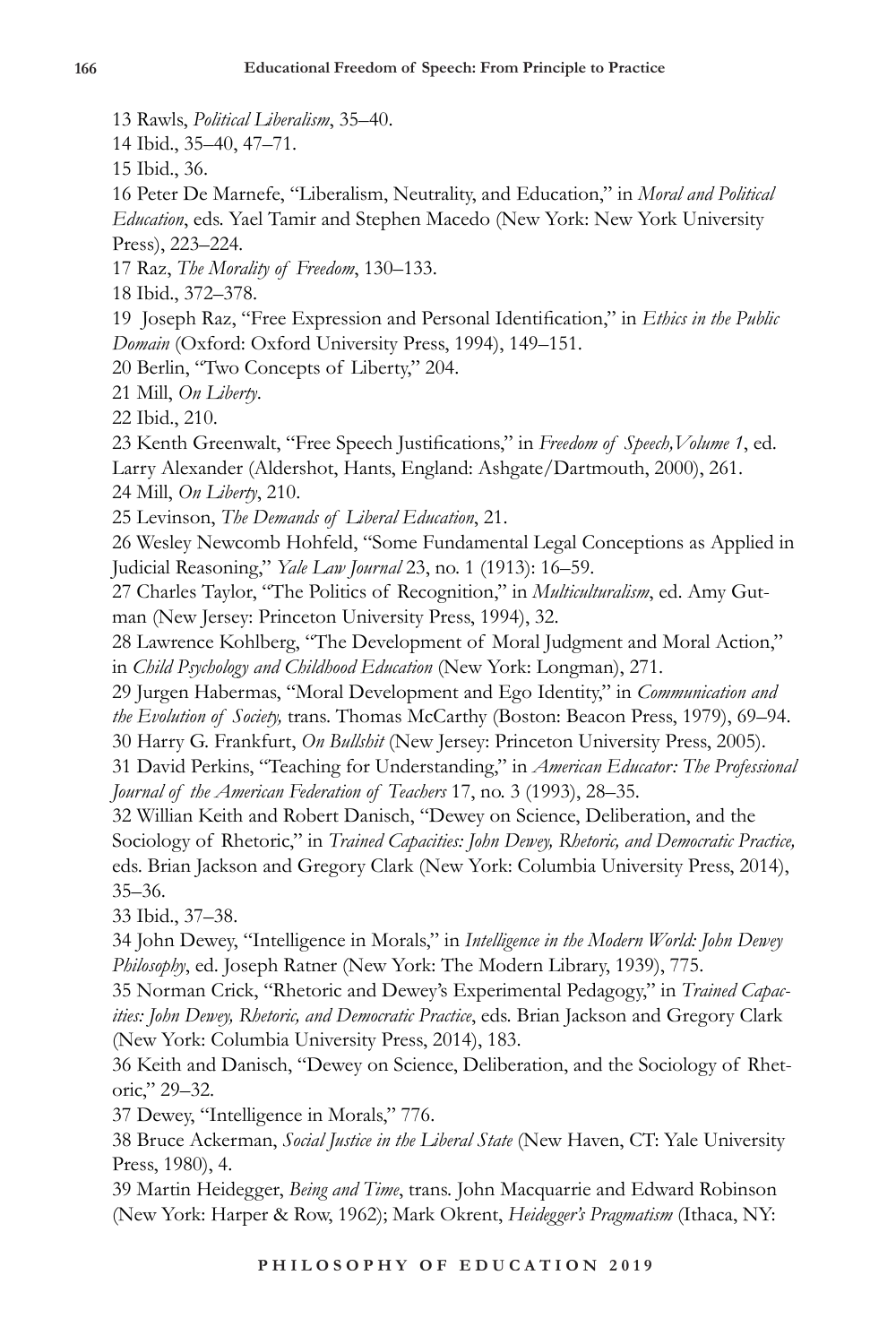13 Rawls, *Political Liberalism*, 35–40.

14 Ibid., 35–40, 47–71.

15 Ibid., 36.

16 Peter De Marnefe, "Liberalism, Neutrality, and Education," in *Moral and Political Education*, eds. Yael Tamir and Stephen Macedo (New York: New York University Press), 223–224*.* 

17 Raz, *The Morality of Freedom*, 130–133.

18 Ibid., 372–378.

19 Joseph Raz, "Free Expression and Personal Identification," in *Ethics in the Public Domain* (Oxford: Oxford University Press, 1994), 149–151.

20 Berlin, "Two Concepts of Liberty," 204.

21 Mill, *On Liberty*.

22 Ibid., 210.

23 Kenth Greenwalt, "Free Speech Justifications," in *Freedom of Speech,Volume 1*, ed. Larry Alexander (Aldershot, Hants, England: Ashgate/Dartmouth, 2000), 261.

24 Mill, *On Liberty*, 210.

25 Levinson, *The Demands of Liberal Education*, 21.

26 Wesley Newcomb Hohfeld, "Some Fundamental Legal Conceptions as Applied in Judicial Reasoning," *Yale Law Journal* 23, no. 1 (1913): 16–59.

27 Charles Taylor, "The Politics of Recognition," in *Multiculturalism*, ed. Amy Gutman (New Jersey: Princeton University Press, 1994), 32.

28 Lawrence Kohlberg, "The Development of Moral Judgment and Moral Action," in *Child Psychology and Childhood Education* (New York: Longman), 271.

29 Jurgen Habermas, "Moral Development and Ego Identity," in *Communication and the Evolution of Society,* trans. Thomas McCarthy (Boston: Beacon Press, 1979), 69–94.

30 Harry G. Frankfurt, *On Bullshit* (New Jersey: Princeton University Press, 2005).

31 David Perkins, "Teaching for Understanding," in *American Educator: The Professional Journal of the American Federation of Teachers* 17, no. 3 (1993), 28–35.

32 Willian Keith and Robert Danisch, "Dewey on Science, Deliberation, and the Sociology of Rhetoric," in *Trained Capacities: John Dewey, Rhetoric, and Democratic Practice,* eds. Brian Jackson and Gregory Clark (New York: Columbia University Press, 2014), 35–36.

33 Ibid., 37–38.

34 John Dewey, "Intelligence in Morals," in *Intelligence in the Modern World: John Dewey Philosophy*, ed. Joseph Ratner (New York: The Modern Library, 1939), 775.

35 Norman Crick, "Rhetoric and Dewey's Experimental Pedagogy," in *Trained Capacities: John Dewey, Rhetoric, and Democratic Practice*, eds. Brian Jackson and Gregory Clark (New York: Columbia University Press, 2014), 183.

36 Keith and Danisch, "Dewey on Science, Deliberation, and the Sociology of Rhetoric," 29–32.

37 Dewey, "Intelligence in Morals," 776.

38 Bruce Ackerman, *Social Justice in the Liberal State* (New Haven, CT: Yale University Press, 1980), 4.

39 Martin Heidegger, *Being and Time*, trans. John Macquarrie and Edward Robinson (New York: Harper & Row, 1962); Mark Okrent, *Heidegger's Pragmatism* (Ithaca, NY: